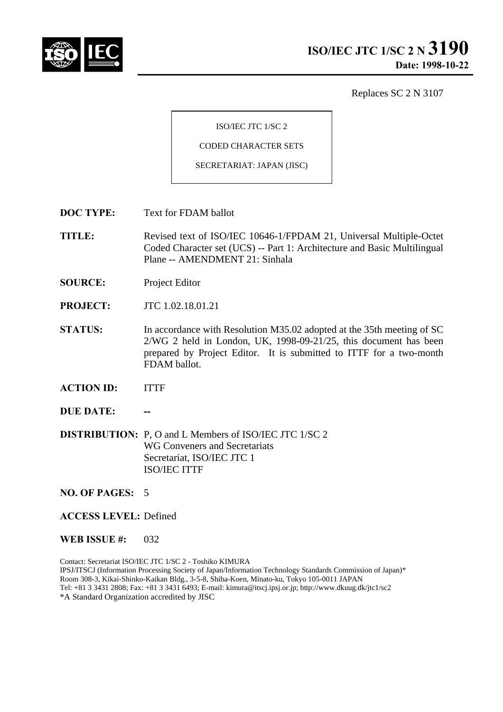

Replaces SC 2 N 3107

ISO/IEC JTC 1/SC 2

CODED CHARACTER SETS

SECRETARIAT: JAPAN (JISC)

- **DOC TYPE:** Text for FDAM ballot
- **TITLE:** Revised text of ISO/IEC 10646-1/FPDAM 21, Universal Multiple-Octet Coded Character set (UCS) -- Part 1: Architecture and Basic Multilingual Plane -- AMENDMENT 21: Sinhala
- **SOURCE:** Project Editor
- **PROJECT:** JTC 1.02.18.01.21
- **STATUS:** In accordance with Resolution M35.02 adopted at the 35th meeting of SC 2/WG 2 held in London, UK, 1998-09-21/25, this document has been prepared by Project Editor. It is submitted to ITTF for a two-month FDAM ballot.
- **ACTION ID:** ITTF
- **DUE DATE:**
- **DISTRIBUTION:** P, O and L Members of ISO/IEC JTC 1/SC 2 WG Conveners and Secretariats Secretariat, ISO/IEC JTC 1 ISO/IEC ITTF

**NO. OF PAGES:** 5

### **ACCESS LEVEL:** Defined

#### **WEB ISSUE #:** 032

Contact: Secretariat ISO/IEC JTC 1/SC 2 - Toshiko KIMURA IPSJ/ITSCJ (Information Processing Society of Japan/Information Technology Standards Commission of Japan)\* Room 308-3, Kikai-Shinko-Kaikan Bldg., 3-5-8, Shiba-Koen, Minato-ku, Tokyo 105-0011 JAPAN Tel: +81 3 3431 2808; Fax: +81 3 3431 6493; E-mail: kimura@itscj.ipsj.or.jp; http://www.dkuug.dk/jtc1/sc2 \*A Standard Organization accredited by JISC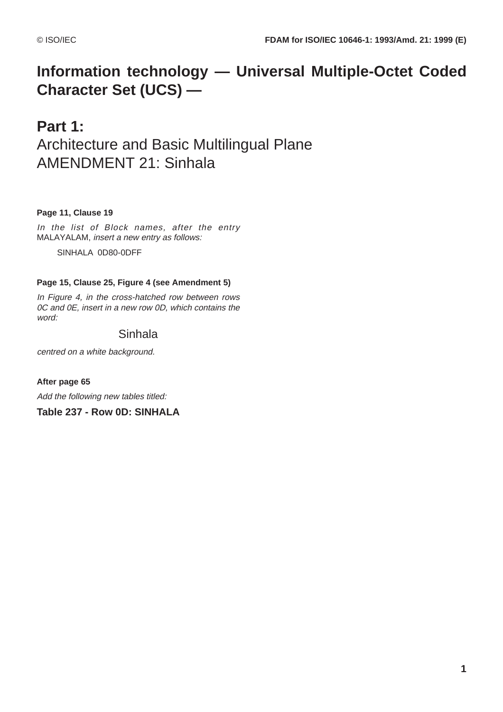# **Information technology — Universal Multiple-Octet Coded Character Set (UCS) —**

## **Part 1:** Architecture and Basic Multilingual Plane AMENDMENT 21: Sinhala

## **Page 11, Clause 19**

In the list of Block names, after the entry MALAYALAM, insert a new entry as follows:

SINHALA 0D80-0DFF

## **Page 15, Clause 25, Figure 4 (see Amendment 5)**

In Figure 4, in the cross-hatched row between rows 0C and 0E, insert in a new row 0D, which contains the word:

## Sinhala

centred on a white background.

**After page 65** Add the following new tables titled:

**Table 237 - Row 0D: SINHALA**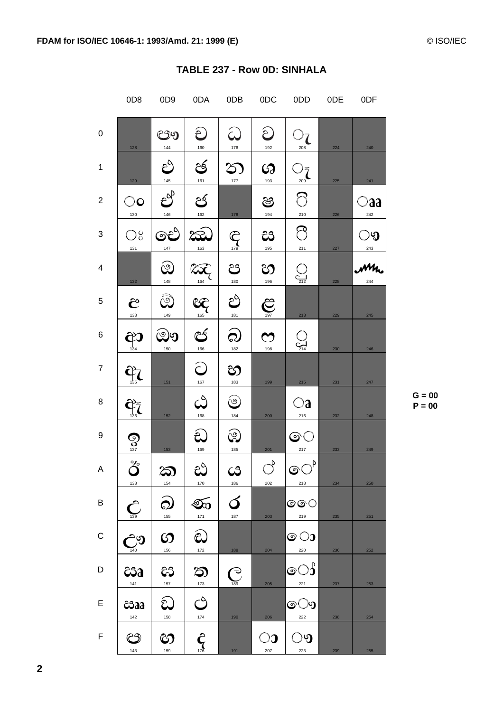|                | 0D <sub>8</sub>                   | 0D <sub>9</sub>                | 0DA                           | 0DB                     | 0DC                          | 0DD                               | 0DE | 0 <sub>DF</sub>      |
|----------------|-----------------------------------|--------------------------------|-------------------------------|-------------------------|------------------------------|-----------------------------------|-----|----------------------|
| 0              | 128                               | ඐ<br>144                       | ච<br>$\frac{160}{1}$          | $\mathcal{Q}$           | ව<br>192                     | $\bigcirc_{\frac{208}{208}}$      | 224 | 240                  |
| $\mathbf{1}$   | 129                               | $\bigodot_{145}$               | ජි<br>161                     | $\infty$<br>$177$       | $\boldsymbol{\omega}$<br>193 | $\bigcirc_{\frac{209}{209}}$      | 225 | 241                  |
| $\overline{2}$ | $\bigcirc$ o<br>130               | $\sum_{i=1}^{n}$<br>$146\,$    | ජ<br>162                      | $178\,$                 | ෂ<br>194                     | $\circ$<br>$\frac{210}{1}$        | 226 | $\bigcirc$ aa<br>242 |
| 3              | $\mathbb{O}^{\circ}_{c}$<br>131   | ඓ<br>$147$                     | æ<br>163                      | $\overline{\mathbf{C}}$ | ස<br>195                     | $\circledcirc$<br>$\frac{211}{2}$ | 227 | ಿ<br>243             |
| 4              | 132                               | $\widehat{\mathcal{Q}}$<br>148 | $\bigotimes_{164}$            | ප<br>$\frac{180}{1}$    | හ<br>196                     | $\bigodot$                        | 228 | Mh                   |
| 5              | $\bigoplus_{133}$                 | $\widehat{\mathbb{Q}}$<br>149  | $\frac{1}{165}$               | ථ<br>181                | $\sum_{197}$                 | $213$                             | 229 | 245                  |
| 6              | $\bigoplus_{134}$                 | ඖ<br>150                       | $rac{25}{166}$                | බ<br>182                | $\boldsymbol{\omega}$<br>198 | $\sum_{214}$                      | 230 | 246                  |
| $\overline{7}$ | $\frac{\partial^2}{\partial t^3}$ | 151                            | $\bigodot$                    | හ<br>183                | 199                          | 215                               | 231 | 247                  |
| 8              | $\bigoplus_{\mathbf{136}}$        | 152                            | $\mathcal{C}$<br>168          | $\circledcirc$<br>184   | 200                          | $\bigcirc$ a<br>216               | 232 | 248                  |
| 9              | $\bigotimes$ <sub>137</sub>       | $153\,$                        | ඩ<br>169                      | ඹ<br>185                | 201                          | ල $\bigcirc$<br>$\frac{217}{2}$   | 233 | 249                  |
| A              | රී<br>138                         | ක<br>154                       | ස<br>170                      | $\mathcal{C}$<br>186    | $\bigcirc^\flat$<br>202      | © $\bigcirc^\rho$<br>218          | 234 | 250                  |
| B              | $\sum_{139}$                      | ඛ<br>$155\,$                   | Go<br>$171$                   | ර<br>187                | 203                          | ල $\circ$<br>219                  | 235 | 251                  |
| C              | $\frac{1}{\sqrt{2}}$              | ၯ<br>156                       | $\widehat{\mathbf{c}}$<br>172 | 188                     | 204                          | ၜၥ<br>220                         | 236 | 252                  |
| D              | ඎ<br>141                          | දිරි<br>157                    | ත<br>173                      | $\bigodot$              | 205                          | ෙ $\circ$<br>221                  | 237 | 253                  |
| E              | csaa<br>142                       | $\widehat{\mathcal{E}}$<br>158 | S<br>174                      | 190                     | 206                          | ො<br>222                          | 238 | 254                  |
| F              | ඐ<br>143                          | හ<br>159                       | $\hat{\zeta}$                 | 191                     | $\bigcirc$ ე<br>207          | ං<br>223                          | 239 | 255                  |

## TABLE 237 - Row 0D: SINHALA

 $G = 00$  $P = 00$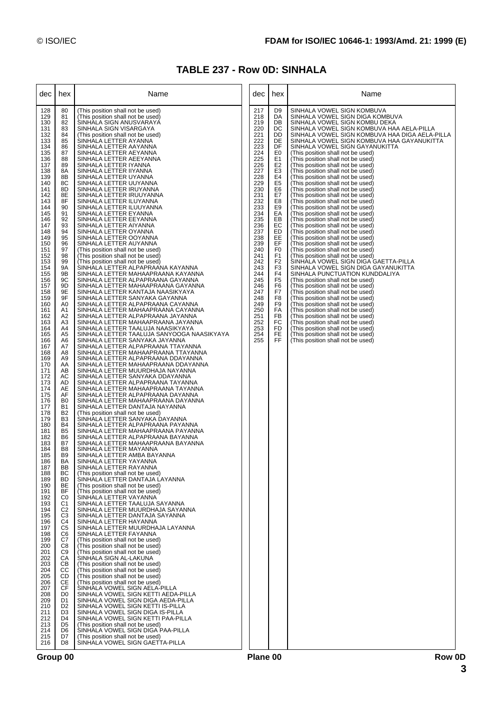## **TABLE 237 - Row 0D: SINHALA**

| dec                                                                                                                                                                                                                                                                                                                                                                                                                                                                                                                                                                                                                                         | hex                                                                                                                                                                                                                                                                                                                                                                                                                                                                                                                                                                                                                                                                                                                                                                                                                                                                                                                                | Name                                                                                                                                                                                                                                                                                                                                                                                                                                                                                                                                                                                                                                                                                                                                                                                                                                                                                                                                                                                                                                                                                                                                                                                                                                                                                                                                                                                                                                                                                                                                                                                                                                                                                                                                                                                                                                                                                                                                                                                                                                                                                                                                                                                                                                                                                                                                                                                                                                                                                                                                                                                                                                                                                                                                                                                                                                                                                                                                                                                                                                                                                                    | dec                                                                                                                                                                                                                                                                           | hex                                                                                                                                                                                                                                                                                                                                                                                                | Name                                                                                                                                                                                                                                                                                                                                                                                                                                                                                                                                                                                                                                                                                                                                                                                                                                                                                                                                                                                                                                                                                                                                                                                                                                                                                                                                                                                                                                                                                                            |
|---------------------------------------------------------------------------------------------------------------------------------------------------------------------------------------------------------------------------------------------------------------------------------------------------------------------------------------------------------------------------------------------------------------------------------------------------------------------------------------------------------------------------------------------------------------------------------------------------------------------------------------------|------------------------------------------------------------------------------------------------------------------------------------------------------------------------------------------------------------------------------------------------------------------------------------------------------------------------------------------------------------------------------------------------------------------------------------------------------------------------------------------------------------------------------------------------------------------------------------------------------------------------------------------------------------------------------------------------------------------------------------------------------------------------------------------------------------------------------------------------------------------------------------------------------------------------------------|---------------------------------------------------------------------------------------------------------------------------------------------------------------------------------------------------------------------------------------------------------------------------------------------------------------------------------------------------------------------------------------------------------------------------------------------------------------------------------------------------------------------------------------------------------------------------------------------------------------------------------------------------------------------------------------------------------------------------------------------------------------------------------------------------------------------------------------------------------------------------------------------------------------------------------------------------------------------------------------------------------------------------------------------------------------------------------------------------------------------------------------------------------------------------------------------------------------------------------------------------------------------------------------------------------------------------------------------------------------------------------------------------------------------------------------------------------------------------------------------------------------------------------------------------------------------------------------------------------------------------------------------------------------------------------------------------------------------------------------------------------------------------------------------------------------------------------------------------------------------------------------------------------------------------------------------------------------------------------------------------------------------------------------------------------------------------------------------------------------------------------------------------------------------------------------------------------------------------------------------------------------------------------------------------------------------------------------------------------------------------------------------------------------------------------------------------------------------------------------------------------------------------------------------------------------------------------------------------------------------------------------------------------------------------------------------------------------------------------------------------------------------------------------------------------------------------------------------------------------------------------------------------------------------------------------------------------------------------------------------------------------------------------------------------------------------------------------------------------|-------------------------------------------------------------------------------------------------------------------------------------------------------------------------------------------------------------------------------------------------------------------------------|----------------------------------------------------------------------------------------------------------------------------------------------------------------------------------------------------------------------------------------------------------------------------------------------------------------------------------------------------------------------------------------------------|-----------------------------------------------------------------------------------------------------------------------------------------------------------------------------------------------------------------------------------------------------------------------------------------------------------------------------------------------------------------------------------------------------------------------------------------------------------------------------------------------------------------------------------------------------------------------------------------------------------------------------------------------------------------------------------------------------------------------------------------------------------------------------------------------------------------------------------------------------------------------------------------------------------------------------------------------------------------------------------------------------------------------------------------------------------------------------------------------------------------------------------------------------------------------------------------------------------------------------------------------------------------------------------------------------------------------------------------------------------------------------------------------------------------------------------------------------------------------------------------------------------------|
| 128<br>129<br>130<br>131<br>132<br>133<br>134<br>135<br>136<br>137<br>138<br>139<br>140<br>141<br>142<br>143<br>144<br>145<br>146<br>147<br>148<br>149<br>150<br>151<br>152<br>153<br>154<br>155<br>156<br>157<br>158<br>159<br>160<br>161<br>162<br>163<br>164<br>165<br>166<br>167<br>168<br>169<br>170<br>171<br>172<br>173<br>174<br>175<br>176<br>177<br>178<br>179<br>180<br>181<br>182<br>183<br>184<br>185<br>186<br>187<br>188<br>189<br>190<br>191<br>192<br>193<br>194<br>195<br>196<br>197<br>198<br>199<br>200<br>201<br>202<br>203<br>204<br>205<br>206<br>207<br>208<br>209<br>210<br>211<br>212<br>213<br>214<br>215<br>216 | 80<br>81<br>82<br>83<br>84<br>85<br>86<br>87<br>88<br>89<br>8A<br>8B<br>8C<br>8D<br>8E<br>8F<br>90<br>91<br>92<br>93<br>94<br>95<br>96<br>97<br>98<br>99<br><b>9A</b><br>9B<br>9C<br>9D<br>9E<br>9F<br>A <sub>0</sub><br>A1<br>A2<br>A3<br>A <sub>4</sub><br>A <sub>5</sub><br>A <sub>6</sub><br>A7<br>A8<br>A <sub>9</sub><br>AA<br>AB<br>AC<br>AD<br>AE<br>AF<br>B <sub>0</sub><br><b>B1</b><br><b>B2</b><br>B <sub>3</sub><br><b>B4</b><br>B <sub>5</sub><br>B <sub>6</sub><br>B7<br>B <sub>8</sub><br>B <sub>9</sub><br><b>BA</b><br>BB<br>ВC<br><b>BD</b><br>BE<br>BF<br>C <sub>0</sub><br>C <sub>1</sub><br>C <sub>2</sub><br>C <sub>3</sub><br>C <sub>4</sub><br>C <sub>5</sub><br>C <sub>6</sub><br>C7<br>C8<br>C <sub>9</sub><br>CA<br>CВ<br>CС<br>CD<br><b>CE</b><br><b>CF</b><br>D <sub>0</sub><br>D <sub>1</sub><br>D <sub>2</sub><br>D <sub>3</sub><br>D4<br>D <sub>5</sub><br>D <sub>6</sub><br>D7<br>D <sub>8</sub> | (This position shall not be used)<br>(This position shall not be used)<br>SINHALA SIGN ANUSVARAYA<br>SINHALA SIGN VISARGAYA<br>(This position shall not be used)<br>SINHALA LETTER AYANNA<br>SINHALA LETTER AAYANNA<br>SINHALA LETTER AEYANNA<br>SINHALA LETTER AEEYANNA<br>SINHALA LETTER IYANNA<br>SINHALA LETTER IIYANNA<br>SINHALA LETTER UYANNA<br>SINHALA LETTER UUYANNA<br>SINHALA LETTER IRUYANNA<br>SINHALA LETTER IRUUYANNA<br>SINHALA LETTER ILUYANNA<br>SINHALA LETTER ILUUYANNA<br>SINHALA LETTER EYANNA<br>SINHALA LETTER EEYANNA<br>SINHALA LETTER AIYANNA<br>SINHALA LETTER OYANNA<br>SINHALA LETTER OOYANNA<br>SINHALA LETTER AUYANNA<br>(This position shall not be used)<br>(This position shall not be used)<br>(This position shall not be used)<br>SINHALA LETTER ALPAPRAANA KAYANNA<br>SINHALA LETTER MAHAAPRAANA KAYANNA<br>SINHALA LETTER ALPAPRAANA GAYANNA<br>SINHALA LETTER MAHAAPRAANA GAYANNA<br>SINHALA LETTER KANTAJA NAASIKYAYA<br>SINHALA LETTER SANYAKA GAYANNA<br>SINHALA LETTER ALPAPRAANA CAYANNA<br>SINHALA LETTER MAHAAPRAANA CAYANNA<br>SINHALA LETTER ALPAPRAANA JAYANNA<br>SINHALA LETTER MAHAAPRAANA JAYANNA<br>SINHALA LETTER TAALUJA NAASIKYAYA<br>SINHALA LETTER TAALUJA SANYOOGA NAASIKYAYA<br>SINHALA LETTER SANYAKA JAYANNA<br>SINHALA LETTER ALPAPRAANA TTAYANNA<br>SINHALA LETTER MAHAAPRAANA TTAYANNA<br>SINHALA LETTER ALPAPRAANA DDAYANNA<br>SINHALA LETTER MAHAAPRAANA DDAYANNA<br>SINHALA LETTER MUURDHAJA NAYANNA<br>SINHALA LETTER SANYAKA DDAYANNA<br>SINHALA LETTER ALPAPRAANA TAYANNA<br>SINHALA LETTER MAHAAPRAANA TAYANNA<br>SINHALA LETTER ALPAPRAANA DAYANNA<br>SINHALA LETTER MAHAAPRAANA DAYANNA<br>SINHALA LETTER DANTAJA NAYANNA<br>(This position shall not be used)<br>SINHALA LETTER SANYAKA DAYANNA<br>SINHALA LETTER ALPAPRAANA PAYANNA<br>SINHALA LETTER MAHAAPRAANA PAYANNA<br>SINHALA LETTER ALPAPRAANA BAYANNA<br>SINHALA LETTER MAHAAPRAANA BAYANNA<br>SINHALA LETTER MAYANNA<br>SINHALA LETTER AMBA BAYANNA<br>SINHALA LETTER YAYANNA<br>SINHALA LETTER RAYANNA<br>(This position shall not be used)<br>SINHALA LETTER DANTAJA LAYANNA<br>(This position shall not be used)<br>(This position shall not be used)<br>SINHALA LETTER VAYANNA<br>SINHALA LETTER TAALUJA SAYANNA<br>SINHALA LETTER MUURDHAJA SAYANNA<br>SINHALA LETTER DANTAJA SAYANNA<br>SINHALA LETTER HAYANNA<br>SINHALA LETTER MUURDHAJA LAYANNA<br>SINHALA LETTER FAYANNA<br>(This position shall not be used)<br>(This position shall not be used)<br>(This position shall not be used)<br>SINHALA SIGN AL-LAKUNA<br>(This position shall not be used)<br>(This position shall not be used)<br>(This position shall not be used)<br>(This position shall not be used)<br>SINHALA VOWEL SIGN AELA-PILLA<br>SINHALA VOWEL SIGN KETTI AEDA-PILLA<br>SINHALA VOWEL SIGN DIGA AEDA-PILLA<br>SINHALA VOWEL SIGN KETTI IS-PILLA<br>SINHALA VOWEL SIGN DIGA IS-PILLA<br>SINHALA VOWEL SIGN KETTI PAA-PILLA<br>(This position shall not be used)<br>SINHALA VOWEL SIGN DIGA PAA-PILLA<br>(This position shall not be used)<br>SINHALA VOWEL SIGN GAETTA-PILLA | 217<br>218<br>219<br>220<br>221<br>222<br>223<br>224<br>225<br>226<br>227<br>228<br>229<br>230<br>231<br>232<br>233<br>234<br>235<br>236<br>237<br>238<br>239<br>240<br>241<br>242<br>243<br>244<br>245<br>246<br>247<br>248<br>249<br>250<br>251<br>252<br>253<br>254<br>255 | D <sub>9</sub><br>DA<br>DB<br>DC<br>DD<br>DE<br>DF<br>E0<br>E1<br>E <sub>2</sub><br>E <sub>3</sub><br>E4<br>E <sub>5</sub><br>E6<br>E7<br>E8<br>E9<br>EA<br>EB<br>EC<br>ED<br>EE<br>EF<br>F <sub>0</sub><br>F <sub>1</sub><br>F <sub>2</sub><br>F <sub>3</sub><br>F <sub>4</sub><br>F <sub>5</sub><br>F <sub>6</sub><br>F7<br>F <sub>8</sub><br>F <sub>9</sub><br>FA<br>FB<br>FC<br>FD<br>FE<br>FF | SINHALA VOWEL SIGN KOMBUVA<br>SINHALA VOWEL SIGN DIGA KOMBUVA<br>SINHALA VOWEL SIGN KOMBU DEKA<br>SINHALA VOWEL SIGN KOMBUVA HAA AELA-PILLA<br>SINHALA VOWEL SIGN KOMBUVA HAA DIGA AELA-PILLA<br>SINHALA VOWEL SIGN KOMBUVA HAA GAYANUKITTA<br>SINHALA VOWEL SIGN GAYANUKITTA<br>(This position shall not be used)<br>(This position shall not be used)<br>(This position shall not be used)<br>(This position shall not be used)<br>(This position shall not be used)<br>(This position shall not be used)<br>(This position shall not be used)<br>(This position shall not be used)<br>(This position shall not be used)<br>(This position shall not be used)<br>(This position shall not be used)<br>(This position shall not be used)<br>(This position shall not be used)<br>(This position shall not be used)<br>(This position shall not be used)<br>(This position shall not be used)<br>(This position shall not be used)<br>(This position shall not be used)<br>SINHALA VOWEL SIGN DIGA GAETTA-PILLA<br>SINHALA VOWEL SIGN DIGA GAYANUKITTA<br>SINHALA PUNCTUATION KUNDDALIYA<br>(This position shall not be used)<br>(This position shall not be used)<br>(This position shall not be used)<br>(This position shall not be used)<br>(This position shall not be used)<br>(This position shall not be used)<br>(This position shall not be used)<br>(This position shall not be used)<br>(This position shall not be used)<br>(This position shall not be used)<br>(This position shall not be used) |